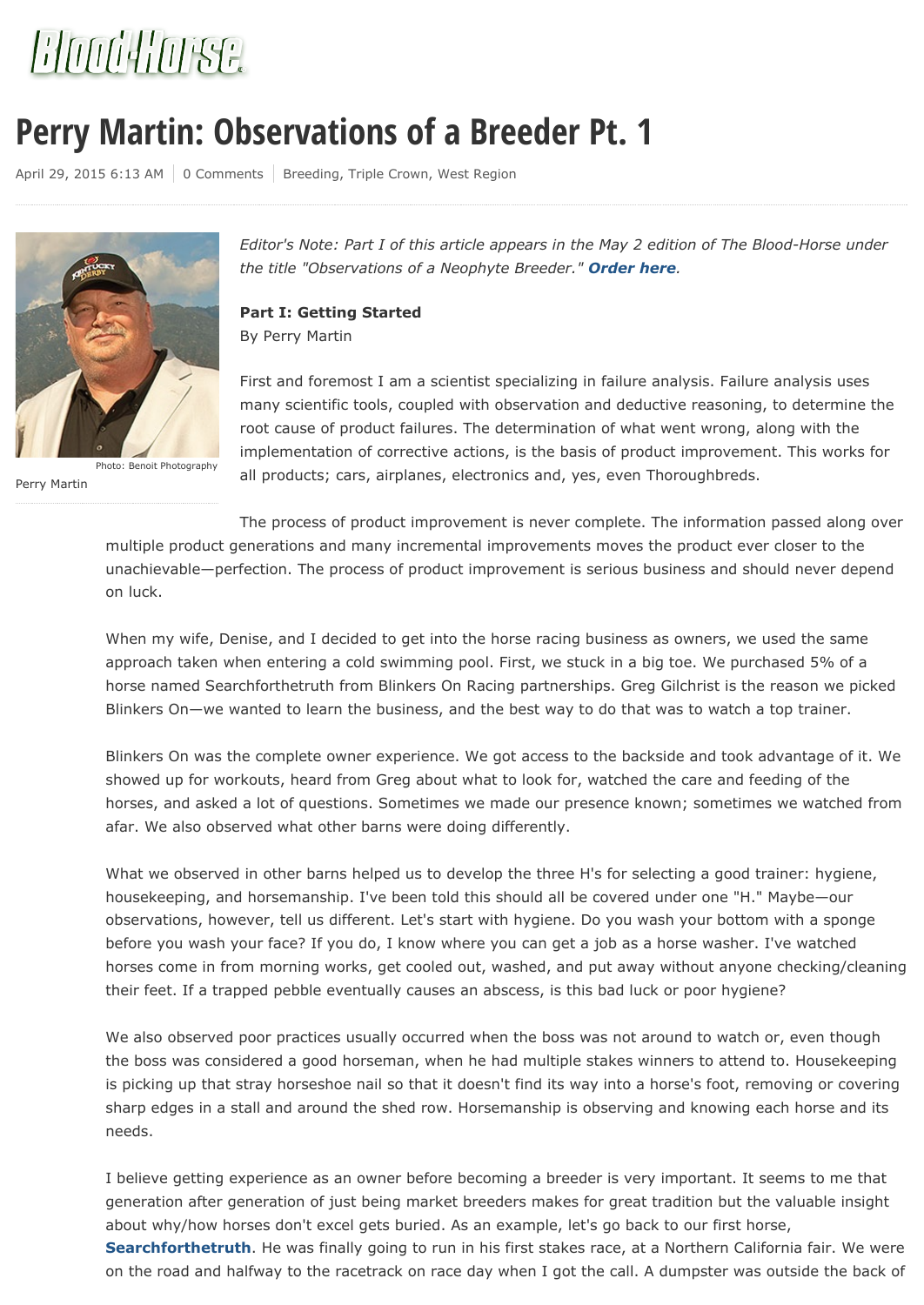

# **Perry Martin: Observations of a Breeder Pt. 1**

April 29, 2015 6:13 AM | 0 Comments | Breeding, Triple Crown, West Region



Perry Martin Photo: Benoit Photography

*Editor's Note: Part I of this article appears in the May 2 edition of The Blood-Horse under the title "Observations of a Neophyte Breeder." Order here.*

**Part I: Getting Started** By Perry Martin

First and foremost I am a scientist specializing in failure analysis. Failure analysis uses many scientific tools, coupled with observation and deductive reasoning, to determine the root cause of product failures. The determination of what went wrong, along with the implementation of corrective actions, is the basis of product improvement. This works for all products; cars, airplanes, electronics and, yes, even Thoroughbreds.

The process of product improvement is never complete. The information passed along over multiple product generations and many incremental improvements moves the product ever closer to the unachievable—perfection. The process of product improvement is serious business and should never depend on luck.

When my wife, Denise, and I decided to get into the horse racing business as owners, we used the same approach taken when entering a cold swimming pool. First, we stuck in a big toe. We purchased 5% of a horse named Searchforthetruth from Blinkers On Racing partnerships. Greg Gilchrist is the reason we picked Blinkers On—we wanted to learn the business, and the best way to do that was to watch a top trainer.

Blinkers On was the complete owner experience. We got access to the backside and took advantage of it. We showed up for workouts, heard from Greg about what to look for, watched the care and feeding of the horses, and asked a lot of questions. Sometimes we made our presence known; sometimes we watched from afar. We also observed what other barns were doing differently.

What we observed in other barns helped us to develop the three H's for selecting a good trainer: hygiene, housekeeping, and horsemanship. I've been told this should all be covered under one "H." Maybe—our observations, however, tell us different. Let's start with hygiene. Do you wash your bottom with a sponge before you wash your face? If you do, I know where you can get a job as a horse washer. I've watched horses come in from morning works, get cooled out, washed, and put away without anyone checking/cleaning their feet. If a trapped pebble eventually causes an abscess, is this bad luck or poor hygiene?

We also observed poor practices usually occurred when the boss was not around to watch or, even though the boss was considered a good horseman, when he had multiple stakes winners to attend to. Housekeeping is picking up that stray horseshoe nail so that it doesn't find its way into a horse's foot, removing or covering sharp edges in a stall and around the shed row. Horsemanship is observing and knowing each horse and its needs.

I believe getting experience as an owner before becoming a breeder is very important. It seems to me that generation after generation of just being market breeders makes for great tradition but the valuable insight about why/how horses don't excel gets buried. As an example, let's go back to our first horse,

**Searchforthetruth**. He was finally going to run in his first stakes race, at a Northern California fair. We were on the road and halfway to the racetrack on race day when I got the call. A dumpster was outside the back of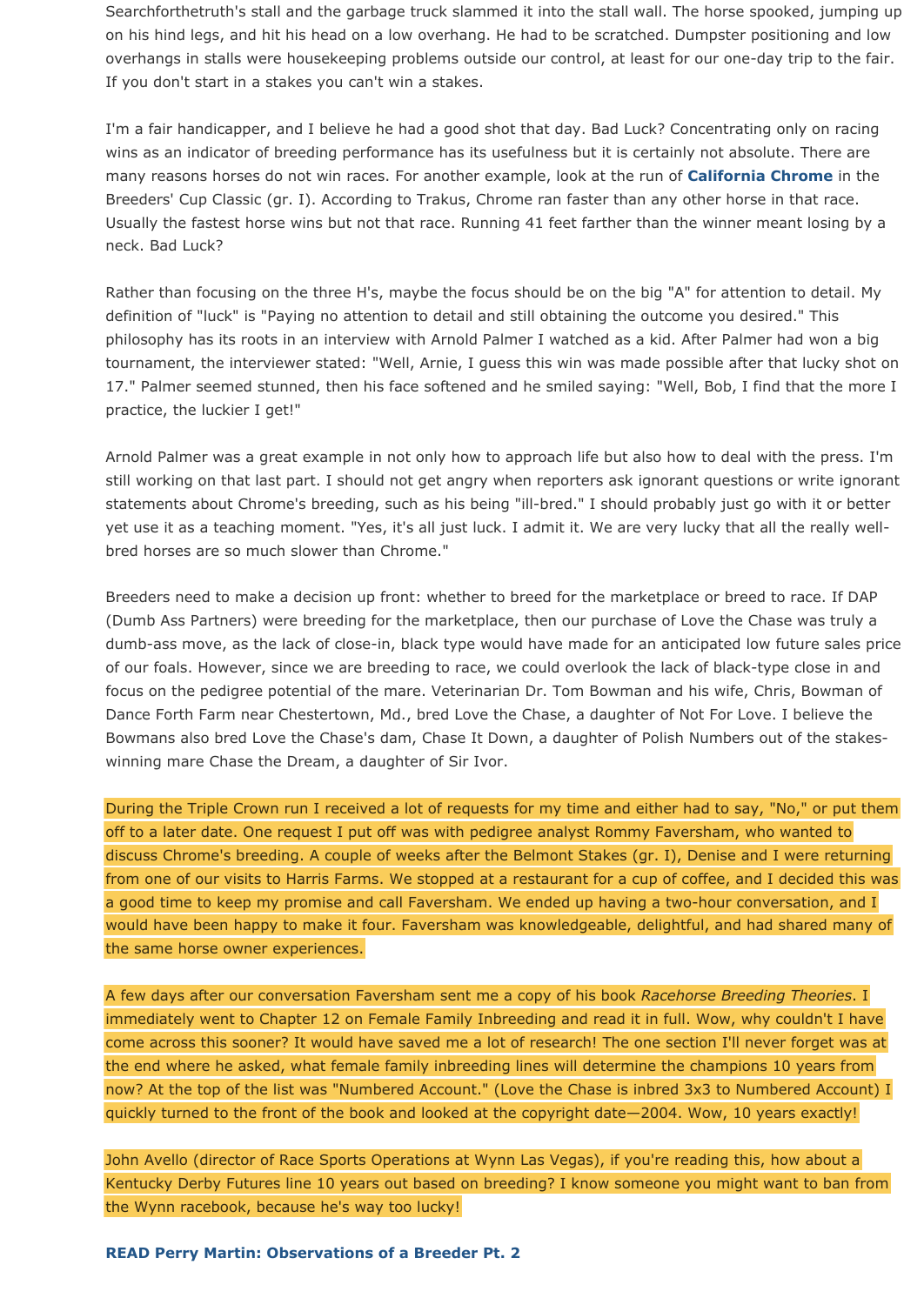Searchforthetruth's stall and the garbage truck slammed it into the stall wall. The horse spooked, jumping up on his hind legs, and hit his head on a low overhang. He had to be scratched. Dumpster positioning and low overhangs in stalls were housekeeping problems outside our control, at least for our one-day trip to the fair. If you don't start in a stakes you can't win a stakes.

I'm a fair handicapper, and I believe he had a good shot that day. Bad Luck? Concentrating only on racing wins as an indicator of breeding performance has its usefulness but it is certainly not absolute. There are many reasons horses do not win races. For another example, look at the run of **California Chrome** in the Breeders' Cup Classic (gr. I). According to Trakus, Chrome ran faster than any other horse in that race. Usually the fastest horse wins but not that race. Running 41 feet farther than the winner meant losing by a neck. Bad Luck?

Rather than focusing on the three H's, maybe the focus should be on the big "A" for attention to detail. My definition of "luck" is "Paying no attention to detail and still obtaining the outcome you desired." This philosophy has its roots in an interview with Arnold Palmer I watched as a kid. After Palmer had won a big tournament, the interviewer stated: "Well, Arnie, I guess this win was made possible after that lucky shot on 17." Palmer seemed stunned, then his face softened and he smiled saying: "Well, Bob, I find that the more I practice, the luckier I get!"

Arnold Palmer was a great example in not only how to approach life but also how to deal with the press. I'm still working on that last part. I should not get angry when reporters ask ignorant questions or write ignorant statements about Chrome's breeding, such as his being "ill-bred." I should probably just go with it or better yet use it as a teaching moment. "Yes, it's all just luck. I admit it. We are very lucky that all the really wellbred horses are so much slower than Chrome."

Breeders need to make a decision up front: whether to breed for the marketplace or breed to race. If DAP (Dumb Ass Partners) were breeding for the marketplace, then our purchase of Love the Chase was truly a dumb-ass move, as the lack of close-in, black type would have made for an anticipated low future sales price of our foals. However, since we are breeding to race, we could overlook the lack of black-type close in and focus on the pedigree potential of the mare. Veterinarian Dr. Tom Bowman and his wife, Chris, Bowman of Dance Forth Farm near Chestertown, Md., bred Love the Chase, a daughter of Not For Love. I believe the Bowmans also bred Love the Chase's dam, Chase It Down, a daughter of Polish Numbers out of the stakeswinning mare Chase the Dream, a daughter of Sir Ivor.

During the Triple Crown run I received a lot of requests for my time and either had to say, "No," or put them off to a later date. One request I put off was with pedigree analyst Rommy Faversham, who wanted to discuss Chrome's breeding. A couple of weeks after the Belmont Stakes (gr. I), Denise and I were returning from one of our visits to Harris Farms. We stopped at a restaurant for a cup of coffee, and I decided this was a good time to keep my promise and call Faversham. We ended up having a two-hour conversation, and I would have been happy to make it four. Faversham was knowledgeable, delightful, and had shared many of the same horse owner experiences.

A few days after our conversation Faversham sent me a copy of his book *Racehorse Breeding Theories*. I immediately went to Chapter 12 on Female Family Inbreeding and read it in full. Wow, why couldn't I have come across this sooner? It would have saved me a lot of research! The one section I'll never forget was at the end where he asked, what female family inbreeding lines will determine the champions 10 years from now? At the top of the list was "Numbered Account." (Love the Chase is inbred 3x3 to Numbered Account) I quickly turned to the front of the book and looked at the copyright date—2004. Wow, 10 years exactly!

John Avello (director of Race Sports Operations at Wynn Las Vegas), if you're reading this, how about a Kentucky Derby Futures line 10 years out based on breeding? I know someone you might want to ban from the Wynn racebook, because he's way too lucky!

**READ Perry Martin: Observations of a Breeder Pt. 2**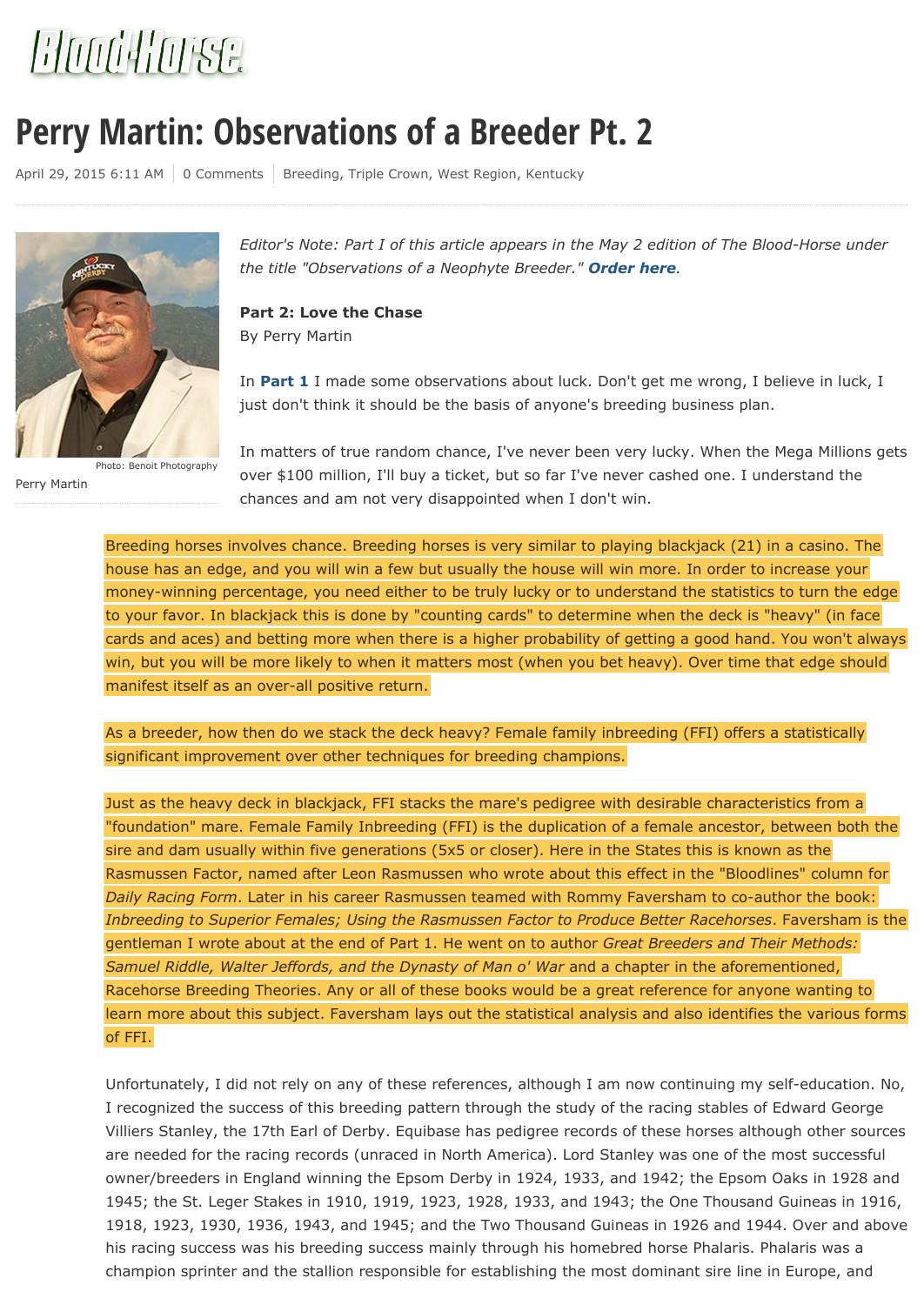

## **Perry Martin: Observations of a Breeder Pt. 2**

April 29, 2015 6:11 AM | 0 Comments | Breeding, Triple Crown, West Region, Kentucky



Photo: Benoit Photography

Perry Martin

*Editor's Note: Part I of this article appears in the May 2 edition of The Blood-Horse under the title "Observations of a Neophyte Breeder." Order here.*

**Part 2: Love the Chase** By Perry Martin

In **Part 1** I made some observations about luck. Don't get me wrong, I believe in luck, I just don't think it should be the basis of anyone's breeding business plan.

In matters of true random chance, I've never been very lucky. When the Mega Millions gets over \$100 million, I'll buy a ticket, but so far I've never cashed one. I understand the chances and am not very disappointed when I don't win.

Breeding horses involves chance. Breeding horses is very similar to playing blackjack (21) in a casino. The house has an edge, and you will win a few but usually the house will win more. In order to increase your money-winning percentage, you need either to be truly lucky or to understand the statistics to turn the edge to your favor. In blackjack this is done by "counting cards" to determine when the deck is "heavy" (in face cards and aces) and betting more when there is a higher probability of getting a good hand. You won't always win, but you will be more likely to when it matters most (when you bet heavy). Over time that edge should manifest itself as an over-all positive return.

As a breeder, how then do we stack the deck heavy? Female family inbreeding (FFI) offers a statistically significant improvement over other techniques for breeding champions.

Just as the heavy deck in blackjack, FFI stacks the mare's pedigree with desirable characteristics from a "foundation" mare. Female Family Inbreeding (FFI) is the duplication of a female ancestor, between both the sire and dam usually within five generations (5x5 or closer). Here in the States this is known as the Rasmussen Factor, named after Leon Rasmussen who wrote about this effect in the "Bloodlines" column for *Daily Racing Form*. Later in his career Rasmussen teamed with Rommy Faversham to co-author the book: *Inbreeding to Superior Females; Using the Rasmussen Factor to Produce Better Racehorses*. Faversham is the gentleman I wrote about at the end of Part 1. He went on to author *Great Breeders and Their Methods: Samuel Riddle, Walter Jeffords, and the Dynasty of Man o' War* and a chapter in the aforementioned, Racehorse Breeding Theories. Any or all of these books would be a great reference for anyone wanting to learn more about this subject. Faversham lays out the statistical analysis and also identifies the various forms of FFI.

Unfortunately, I did not rely on any of these references, although I am now continuing my self-education. No, I recognized the success of this breeding pattern through the study of the racing stables of Edward George Villiers Stanley, the 17th Earl of Derby. Equibase has pedigree records of these horses although other sources are needed for the racing records (unraced in North America). Lord Stanley was one of the most successful owner/breeders in England winning the Epsom Derby in 1924, 1933, and 1942; the Epsom Oaks in 1928 and 1945; the St. Leger Stakes in 1910, 1919, 1923, 1928, 1933, and 1943; the One Thousand Guineas in 1916, 1918, 1923, 1930, 1936, 1943, and 1945; and the Two Thousand Guineas in 1926 and 1944. Over and above his racing success was his breeding success mainly through his homebred horse Phalaris. Phalaris was a champion sprinter and the stallion responsible for establishing the most dominant sire line in Europe, and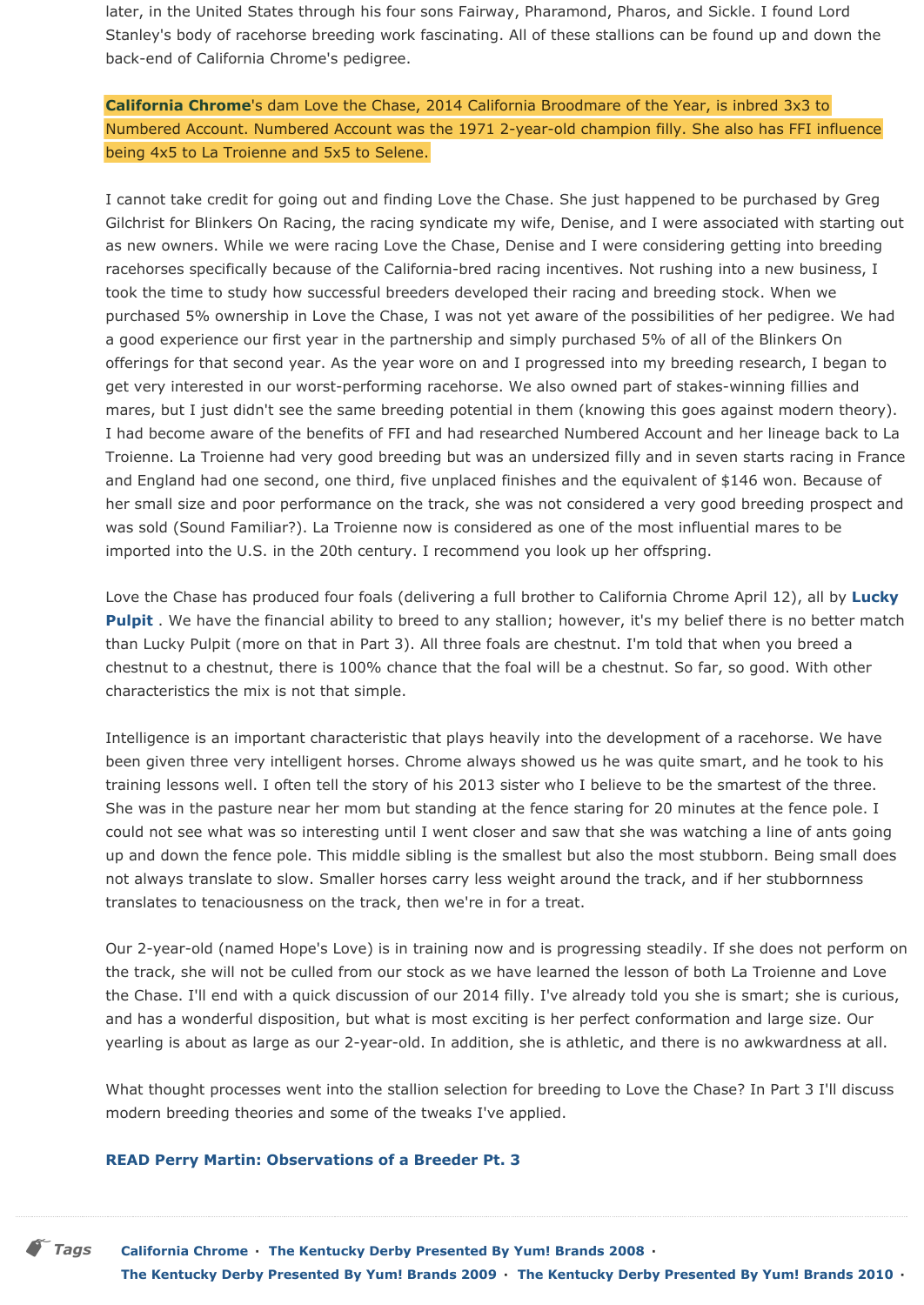later, in the United States through his four sons Fairway, Pharamond, Pharos, and Sickle. I found Lord Stanley's body of racehorse breeding work fascinating. All of these stallions can be found up and down the back-end of California Chrome's pedigree.

**California Chrome**'s dam Love the Chase, 2014 California Broodmare of the Year, is inbred 3x3 to Numbered Account. Numbered Account was the 1971 2-year-old champion filly. She also has FFI influence being 4x5 to La Troienne and 5x5 to Selene.

I cannot take credit for going out and finding Love the Chase. She just happened to be purchased by Greg Gilchrist for Blinkers On Racing, the racing syndicate my wife, Denise, and I were associated with starting out as new owners. While we were racing Love the Chase, Denise and I were considering getting into breeding racehorses specifically because of the California-bred racing incentives. Not rushing into a new business, I took the time to study how successful breeders developed their racing and breeding stock. When we purchased 5% ownership in Love the Chase, I was not yet aware of the possibilities of her pedigree. We had a good experience our first year in the partnership and simply purchased 5% of all of the Blinkers On offerings for that second year. As the year wore on and I progressed into my breeding research, I began to get very interested in our worst-performing racehorse. We also owned part of stakes-winning fillies and mares, but I just didn't see the same breeding potential in them (knowing this goes against modern theory). I had become aware of the benefits of FFI and had researched Numbered Account and her lineage back to La Troienne. La Troienne had very good breeding but was an undersized filly and in seven starts racing in France and England had one second, one third, five unplaced finishes and the equivalent of \$146 won. Because of her small size and poor performance on the track, she was not considered a very good breeding prospect and was sold (Sound Familiar?). La Troienne now is considered as one of the most influential mares to be imported into the U.S. in the 20th century. I recommend you look up her offspring.

Love the Chase has produced four foals (delivering a full brother to California Chrome April 12), all by **Lucky Pulpit** . We have the financial ability to breed to any stallion; however, it's my belief there is no better match than Lucky Pulpit (more on that in Part 3). All three foals are chestnut. I'm told that when you breed a chestnut to a chestnut, there is 100% chance that the foal will be a chestnut. So far, so good. With other characteristics the mix is not that simple.

Intelligence is an important characteristic that plays heavily into the development of a racehorse. We have been given three very intelligent horses. Chrome always showed us he was quite smart, and he took to his training lessons well. I often tell the story of his 2013 sister who I believe to be the smartest of the three. She was in the pasture near her mom but standing at the fence staring for 20 minutes at the fence pole. I could not see what was so interesting until I went closer and saw that she was watching a line of ants going up and down the fence pole. This middle sibling is the smallest but also the most stubborn. Being small does not always translate to slow. Smaller horses carry less weight around the track, and if her stubbornness translates to tenaciousness on the track, then we're in for a treat.

Our 2-year-old (named Hope's Love) is in training now and is progressing steadily. If she does not perform on the track, she will not be culled from our stock as we have learned the lesson of both La Troienne and Love the Chase. I'll end with a quick discussion of our 2014 filly. I've already told you she is smart; she is curious, and has a wonderful disposition, but what is most exciting is her perfect conformation and large size. Our yearling is about as large as our 2-year-old. In addition, she is athletic, and there is no awkwardness at all.

What thought processes went into the stallion selection for breeding to Love the Chase? In Part 3 I'll discuss modern breeding theories and some of the tweaks I've applied.

### **READ Perry Martin: Observations of a Breeder Pt. 3**

*Tags* **California Chrome · The Kentucky Derby Presented By Yum! Brands 2008 · The Kentucky Derby Presented By Yum! Brands 2009 · The Kentucky Derby Presented By Yum! Brands 2010 ·**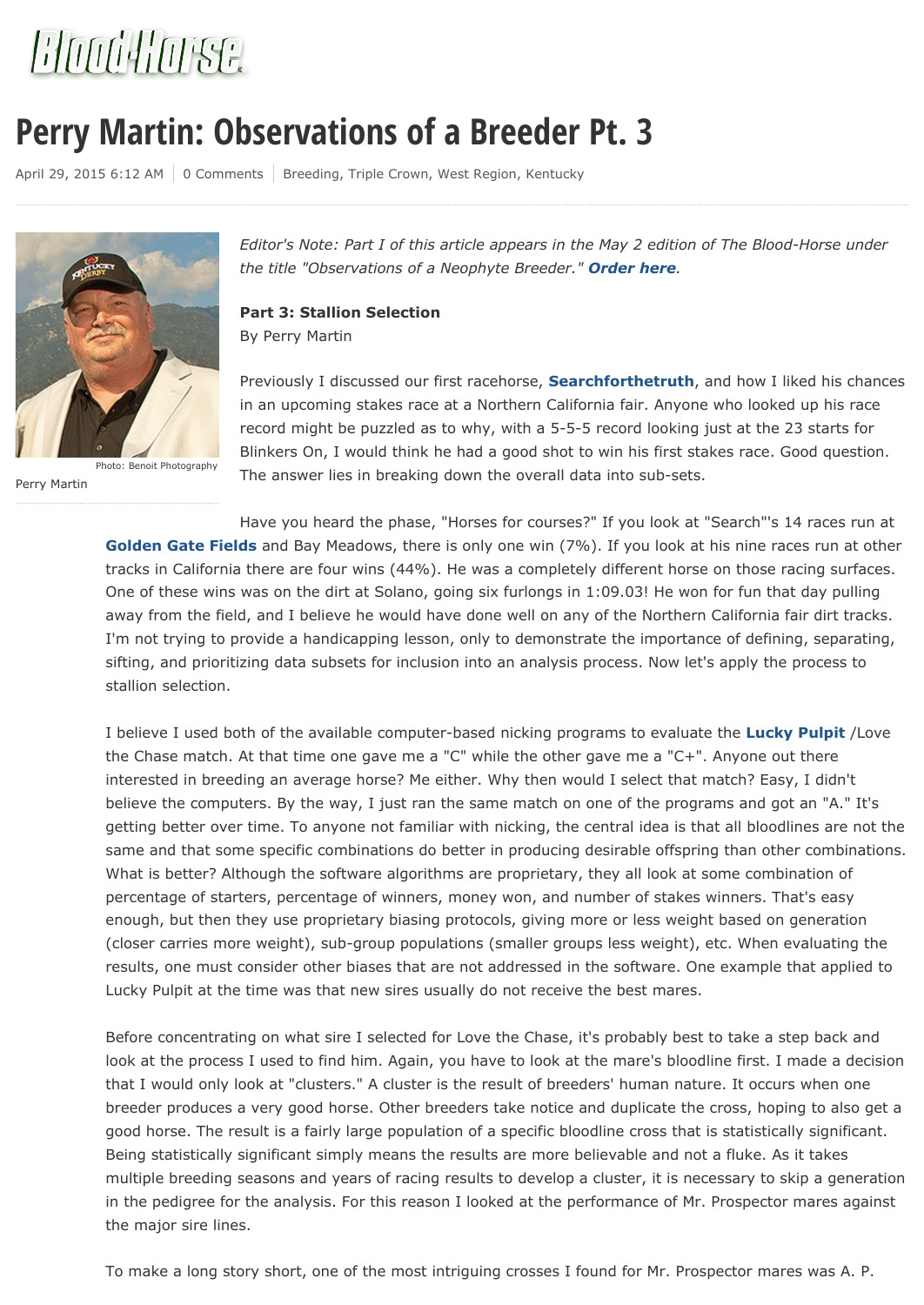

## **Perry Martin: Observations of a Breeder Pt. 3**

April 29, 2015 6:12 AM | 0 Comments | Breeding, Triple Crown, West Region, Kentucky



Perry Martin Photo: Benoit Photography

*Editor's Note: Part I of this article appears in the May 2 edition of The Blood-Horse under the title "Observations of a Neophyte Breeder." Order here.*

**Part 3: Stallion Selection** By Perry Martin

Previously I discussed our first racehorse, **Searchforthetruth**, and how I liked his chances in an upcoming stakes race at a Northern California fair. Anyone who looked up his race record might be puzzled as to why, with a 5-5-5 record looking just at the 23 starts for Blinkers On, I would think he had a good shot to win his first stakes race. Good question. The answer lies in breaking down the overall data into sub-sets.

Have you heard the phase, "Horses for courses?" If you look at "Search"'s 14 races run at **Golden Gate Fields** and Bay Meadows, there is only one win (7%). If you look at his nine races run at other tracks in California there are four wins (44%). He was a completely different horse on those racing surfaces. One of these wins was on the dirt at Solano, going six furlongs in 1:09.03! He won for fun that day pulling away from the field, and I believe he would have done well on any of the Northern California fair dirt tracks. I'm not trying to provide a handicapping lesson, only to demonstrate the importance of defining, separating, sifting, and prioritizing data subsets for inclusion into an analysis process. Now let's apply the process to stallion selection.

I believe I used both of the available computer-based nicking programs to evaluate the **Lucky Pulpit** /Love the Chase match. At that time one gave me a "C" while the other gave me a "C+". Anyone out there interested in breeding an average horse? Me either. Why then would I select that match? Easy, I didn't believe the computers. By the way, I just ran the same match on one of the programs and got an "A." It's getting better over time. To anyone not familiar with nicking, the central idea is that all bloodlines are not the same and that some specific combinations do better in producing desirable offspring than other combinations. What is better? Although the software algorithms are proprietary, they all look at some combination of percentage of starters, percentage of winners, money won, and number of stakes winners. That's easy enough, but then they use proprietary biasing protocols, giving more or less weight based on generation (closer carries more weight), sub-group populations (smaller groups less weight), etc. When evaluating the results, one must consider other biases that are not addressed in the software. One example that applied to Lucky Pulpit at the time was that new sires usually do not receive the best mares.

Before concentrating on what sire I selected for Love the Chase, it's probably best to take a step back and look at the process I used to find him. Again, you have to look at the mare's bloodline first. I made a decision that I would only look at "clusters." A cluster is the result of breeders' human nature. It occurs when one breeder produces a very good horse. Other breeders take notice and duplicate the cross, hoping to also get a good horse. The result is a fairly large population of a specific bloodline cross that is statistically significant. Being statistically significant simply means the results are more believable and not a fluke. As it takes multiple breeding seasons and years of racing results to develop a cluster, it is necessary to skip a generation in the pedigree for the analysis. For this reason I looked at the performance of Mr. Prospector mares against the major sire lines.

To make a long story short, one of the most intriguing crosses I found for Mr. Prospector mares was A. P.